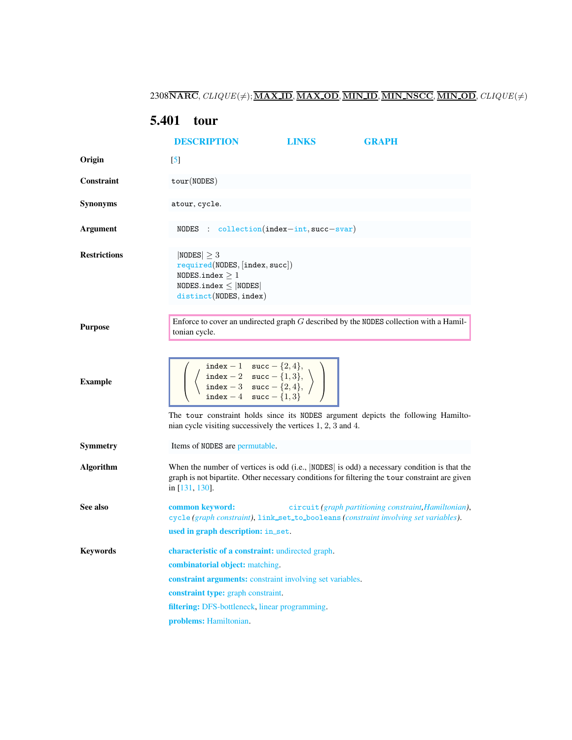$2308\overline{\textbf{NARC}},\textit{CLIQUE}(\neq);\overline{\textbf{MAX.ID}},\overline{\textbf{MAX.OD}},\overline{\textbf{MIN.ID}},\overline{\textbf{MIN.NSCC}},\overline{\textbf{MIN.OD}},\textit{CLIQUE}(\neq)$ 

## <span id="page-0-0"></span>5.401 tour

<span id="page-0-1"></span>

|                     | <b>DESCRIPTION</b>                                                                                                                                                                                                                                                                                                                                                              | <b>LINKS</b> | <b>GRAPH</b>                                          |  |  |
|---------------------|---------------------------------------------------------------------------------------------------------------------------------------------------------------------------------------------------------------------------------------------------------------------------------------------------------------------------------------------------------------------------------|--------------|-------------------------------------------------------|--|--|
| Origin              | $\lceil 5 \rceil$                                                                                                                                                                                                                                                                                                                                                               |              |                                                       |  |  |
| <b>Constraint</b>   | tour(NODES)                                                                                                                                                                                                                                                                                                                                                                     |              |                                                       |  |  |
| <b>Synonyms</b>     | atour, cycle.                                                                                                                                                                                                                                                                                                                                                                   |              |                                                       |  |  |
| <b>Argument</b>     | NODES : $\text{collection}(\text{index}-\text{int}, \text{succ}-\text{svar})$                                                                                                                                                                                                                                                                                                   |              |                                                       |  |  |
| <b>Restrictions</b> | $ NODES  \geq 3$<br>required(NODES, [index, succ])<br>NODES.index $\geq 1$<br>NODES.index $\leq$  NODES <br>distinct(NODES, index)                                                                                                                                                                                                                                              |              |                                                       |  |  |
| <b>Purpose</b>      | Enforce to cover an undirected graph $G$ described by the NODES collection with a Hamil-<br>tonian cycle.                                                                                                                                                                                                                                                                       |              |                                                       |  |  |
| <b>Example</b>      | $\left(\begin{array}{c} \text{index } -1 & \text{succ } -\{2,4\}, \\ \text{index } -2 & \text{succ } -\{1,3\}, \\ \text{index } -3 & \text{succ } -\{2,4\}, \\ \text{index } -4 & \text{succ } -\{1,3\}\end{array}\right)$<br>The tour constraint holds since its NODES argument depicts the following Hamilto-<br>nian cycle visiting successively the vertices 1, 2, 3 and 4. |              |                                                       |  |  |
| Symmetry            | Items of NODES are permutable.                                                                                                                                                                                                                                                                                                                                                  |              |                                                       |  |  |
| <b>Algorithm</b>    | When the number of vertices is odd (i.e., $ NODES $ is odd) a necessary condition is that the<br>graph is not bipartite. Other necessary conditions for filtering the tour constraint are given<br>in [131, 130].                                                                                                                                                               |              |                                                       |  |  |
| See also            | common keyword:<br>cycle (graph constraint), link_set_to_booleans (constraint involving set variables).                                                                                                                                                                                                                                                                         |              | circuit (graph partitioning constraint, Hamiltonian), |  |  |
|                     | used in graph description: in_set.                                                                                                                                                                                                                                                                                                                                              |              |                                                       |  |  |
| <b>Keywords</b>     | <b>characteristic of a constraint:</b> undirected graph.                                                                                                                                                                                                                                                                                                                        |              |                                                       |  |  |
|                     | combinatorial object: matching.                                                                                                                                                                                                                                                                                                                                                 |              |                                                       |  |  |
|                     | constraint arguments: constraint involving set variables.                                                                                                                                                                                                                                                                                                                       |              |                                                       |  |  |
|                     | constraint type: graph constraint.<br>filtering: DFS-bottleneck, linear programming.                                                                                                                                                                                                                                                                                            |              |                                                       |  |  |
|                     |                                                                                                                                                                                                                                                                                                                                                                                 |              |                                                       |  |  |
|                     | problems: Hamiltonian.                                                                                                                                                                                                                                                                                                                                                          |              |                                                       |  |  |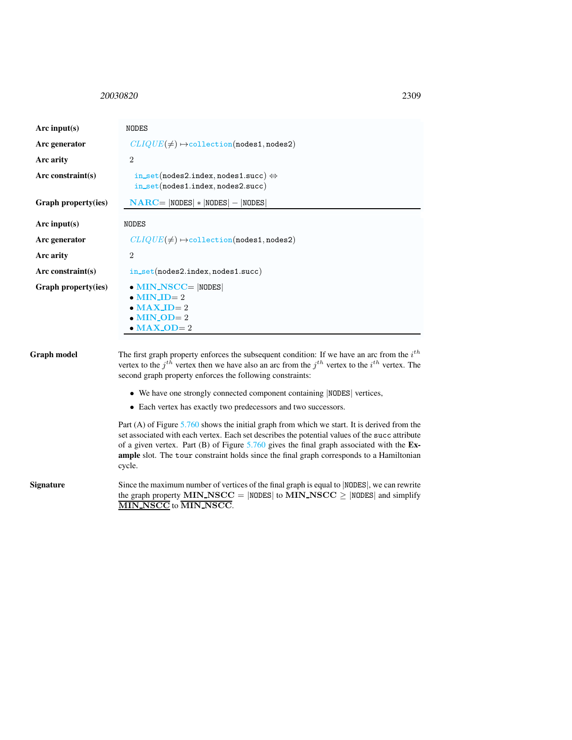## <span id="page-1-0"></span><sup>20030820</sup> 2309

| Arc input $(s)$     | <b>NODES</b>                                                                                                                                                                                                                                                                                                                                        |  |  |
|---------------------|-----------------------------------------------------------------------------------------------------------------------------------------------------------------------------------------------------------------------------------------------------------------------------------------------------------------------------------------------------|--|--|
| Arc generator       | $CLIQUE(\neq) \rightarrow collection(nodes1, nodes2)$                                                                                                                                                                                                                                                                                               |  |  |
| Arc arity           | $\overline{2}$                                                                                                                                                                                                                                                                                                                                      |  |  |
| $Arc$ constraint(s) | in_set(nodes2.index,nodes1.succ) $\Leftrightarrow$<br>$in\_set(node1.index, nodes2.succ)$                                                                                                                                                                                                                                                           |  |  |
| Graph property(ies) | $\mathbf{NARC} =  \mathbf{NODES}  *  \mathbf{NODES}  -  \mathbf{NODES} $                                                                                                                                                                                                                                                                            |  |  |
| Arc input( $s$ )    | <b>NODES</b>                                                                                                                                                                                                                                                                                                                                        |  |  |
| Arc generator       | $CLIQUE(\neq) \rightarrow collection(nodes1, nodes2)$                                                                                                                                                                                                                                                                                               |  |  |
| Arc arity           | $\overline{2}$                                                                                                                                                                                                                                                                                                                                      |  |  |
| $Arc$ constraint(s) | $in\_set(nodes2.index, nodes1.succ)$                                                                                                                                                                                                                                                                                                                |  |  |
| Graph property(ies) | $\bullet$ MIN_NSCC=  NODES <br>$\bullet$ MIN_ID= 2<br>$\bullet$ MAX_ID= 2<br>$\bullet$ MIN_OD= 2<br>$\bullet$ MAX_OD= 2                                                                                                                                                                                                                             |  |  |
| Graph model         | The first graph property enforces the subsequent condition: If we have an arc from the $ith$<br>vertex to the $j^{th}$ vertex then we have also an arc from the $j^{th}$ vertex to the $i^{th}$ vertex. The<br>second graph property enforces the following constraints:<br>• We have one strongly connected component containing  NODES  vertices, |  |  |
|                     | • Each vertex has exactly two predecessors and two successors.                                                                                                                                                                                                                                                                                      |  |  |
|                     | Part (A) of Figure $5.760$ shows the initial graph from which we start. It is derived from the                                                                                                                                                                                                                                                      |  |  |

set associated with each vertex. Each set describes the potential values of the succ attribute of a given vertex. Part (B) of Figure [5.760](#page-2-0) gives the final graph associated with the Example slot. The tour constraint holds since the final graph corresponds to a Hamiltonian cycle.

Signature Since the maximum number of vertices of the final graph is equal to |NODES|, we can rewrite the graph property MIN\_NSCC = |NODES| to MIN\_NSCC  $\geq$  |NODES| and simplify MIN NSCC to MIN NSCC.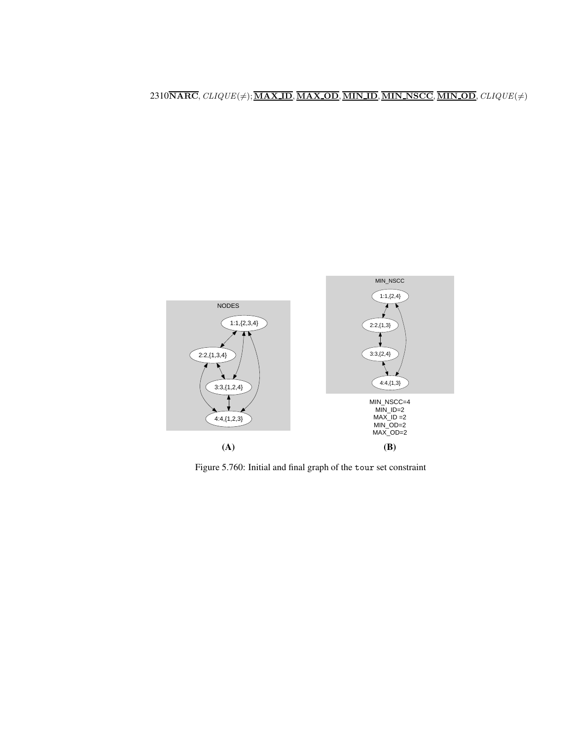## $2310\overline{\textbf{NARC}},\textit{CLIQUE}(\neq);\overline{\textbf{MAX\_ID}},\overline{\textbf{MAX\_OD}},\overline{\textbf{MIN\_ID}},\overline{\textbf{MIN\_NSCC}},\overline{\textbf{MIN\_OD}},\textit{CLIQUE}(\neq)$



<span id="page-2-0"></span>Figure 5.760: Initial and final graph of the tour set constraint